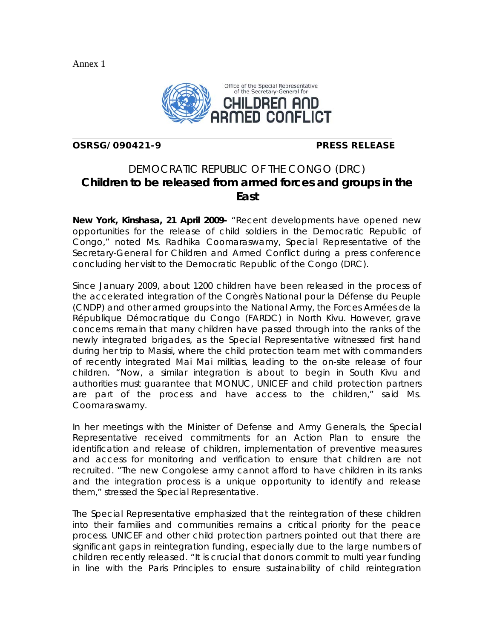Annex 1

l



**OSRSG/090421-9 PRESS RELEASE** 

## DEMOCRATIC REPUBLIC OF THE CONGO (DRC) **Children to be released from armed forces and groups in the East**

**New York, Kinshasa, 21 April 2009-** "Recent developments have opened new opportunities for the release of child soldiers in the Democratic Republic of Congo," noted Ms. Radhika Coomaraswamy, Special Representative of the Secretary-General for Children and Armed Conflict during a press conference concluding her visit to the Democratic Republic of the Congo (DRC).

Since January 2009, about 1200 children have been released in the process of the accelerated integration of the Congrès National pour la Défense du Peuple (CNDP) and other armed groups into the National Army, the Forces Armées de la République Démocratique du Congo (FARDC) in North Kivu. However, grave concerns remain that many children have passed through into the ranks of the newly integrated brigades, as the Special Representative witnessed first hand during her trip to Masisi, where the child protection team met with commanders of recently integrated Mai Mai militias, leading to the on-site release of four children. "Now, a similar integration is about to begin in South Kivu and authorities must guarantee that MONUC, UNICEF and child protection partners are part of the process and have access to the children," said Ms. Coomaraswamy.

In her meetings with the Minister of Defense and Army Generals, the Special Representative received commitments for an Action Plan to ensure the identification and release of children, implementation of preventive measures and access for monitoring and verification to ensure that children are not recruited. "The new Congolese army cannot afford to have children in its ranks and the integration process is a unique opportunity to identify and release them," stressed the Special Representative.

The Special Representative emphasized that the reintegration of these children into their families and communities remains a critical priority for the peace process. UNICEF and other child protection partners pointed out that there are significant gaps in reintegration funding, especially due to the large numbers of children recently released. "It is crucial that donors commit to multi year funding in line with the Paris Principles to ensure sustainability of child reintegration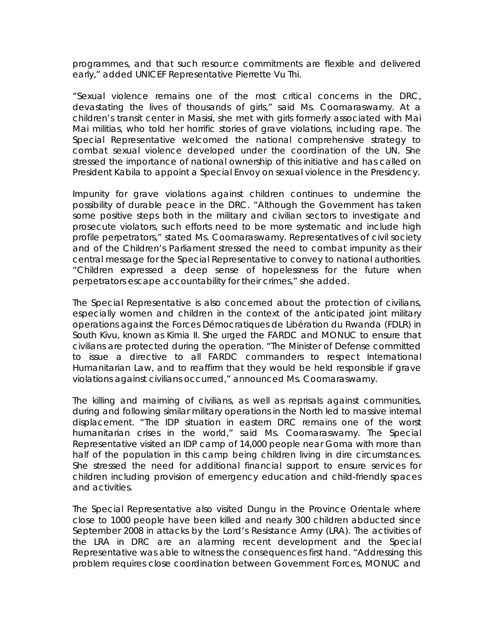programmes, and that such resource commitments are flexible and delivered early," added UNICEF Representative Pierrette Vu Thi.

"Sexual violence remains one of the most critical concerns in the DRC, devastating the lives of thousands of girls," said Ms. Coomaraswamy. At a children's transit center in Masisi, she met with girls formerly associated with Mai Mai militias, who told her horrific stories of grave violations, including rape. The Special Representative welcomed the national comprehensive strategy to combat sexual violence developed under the coordination of the UN. She stressed the importance of national ownership of this initiative and has called on President Kabila to appoint a Special Envoy on sexual violence in the Presidency.

Impunity for grave violations against children continues to undermine the possibility of durable peace in the DRC. "Although the Government has taken some positive steps both in the military and civilian sectors to investigate and prosecute violators, such efforts need to be more systematic and include high profile perpetrators," stated Ms. Coomaraswamy. Representatives of civil society and of the Children's Parliament stressed the need to combat impunity as their central message for the Special Representative to convey to national authorities. "Children expressed a deep sense of hopelessness for the future when perpetrators escape accountability for their crimes," she added.

The Special Representative is also concerned about the protection of civilians, especially women and children in the context of the anticipated joint military operations against the Forces Démocratiques de Libération du Rwanda (FDLR) in South Kivu, known as Kimia II. She urged the FARDC and MONUC to ensure that civilians are protected during the operation. "The Minister of Defense committed to issue a directive to all FARDC commanders to respect International Humanitarian Law, and to reaffirm that they would be held responsible if grave violations against civilians occurred," announced Ms. Coomaraswamy.

The killing and maiming of civilians, as well as reprisals against communities, during and following similar military operations in the North led to massive internal displacement. "The IDP situation in eastern DRC remains one of the worst humanitarian crises in the world," said Ms. Coomaraswamy. The Special Representative visited an IDP camp of 14,000 people near Goma with more than half of the population in this camp being children living in dire circumstances. She stressed the need for additional financial support to ensure services for children including provision of emergency education and child-friendly spaces and activities.

The Special Representative also visited Dungu in the Province Orientale where close to 1000 people have been killed and nearly 300 children abducted since September 2008 in attacks by the Lord's Resistance Army (LRA). The activities of the LRA in DRC are an alarming recent development and the Special Representative was able to witness the consequences first hand. "Addressing this problem requires close coordination between Government Forces, MONUC and